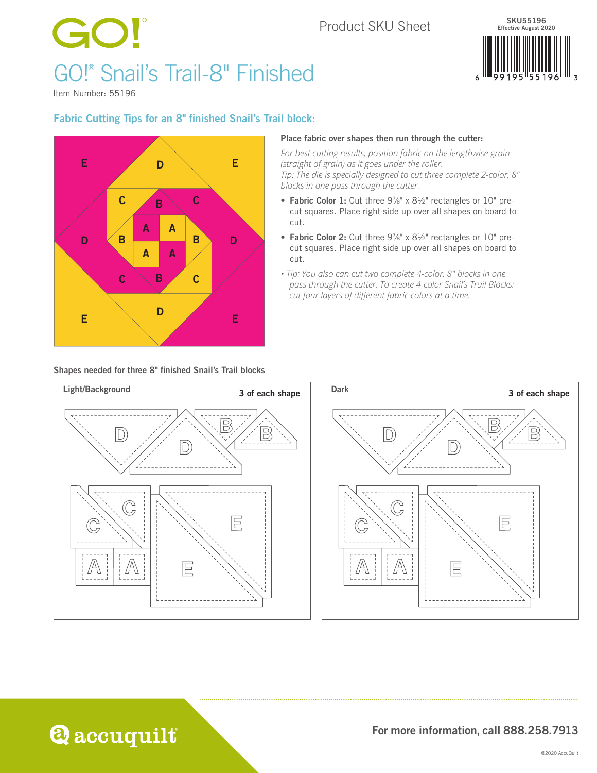### Product SKU Sheet

## GO! GO!® Snail's Trail-8" Finished



Item Number: 55196

### Fabric Cutting Tips for an 8" finished Snail's Trail block:



#### Shapes needed for three 8" finished Snail's Trail blocks

#### Place fabric over shapes then run through the cutter:

*For best cutting results, position fabric on the lengthwise grain (straight of grain) as it goes under the roller. Tip: The die is specially designed to cut three complete 2-color, 8" blocks in one pass through the cutter.* 

- Fabric Color 1: Cut three  $9\frac{7}{8}$ " x  $8\frac{1}{2}$ " rectangles or 10" precut squares. Place right side up over all shapes on board to cut.
- Fabric Color 2: Cut three  $9\frac{7}{8}$ " x  $8\frac{1}{2}$ " rectangles or 10" precut squares. Place right side up over all shapes on board to cut.
- *Tip: You also can cut two complete 4-color, 8" blocks in one pass through the cutter. To create 4-color Snail's Trail Blocks: cut four layers of different fabric colors at a time.*





**Q** accuquilt

For more information, call 888.258.7913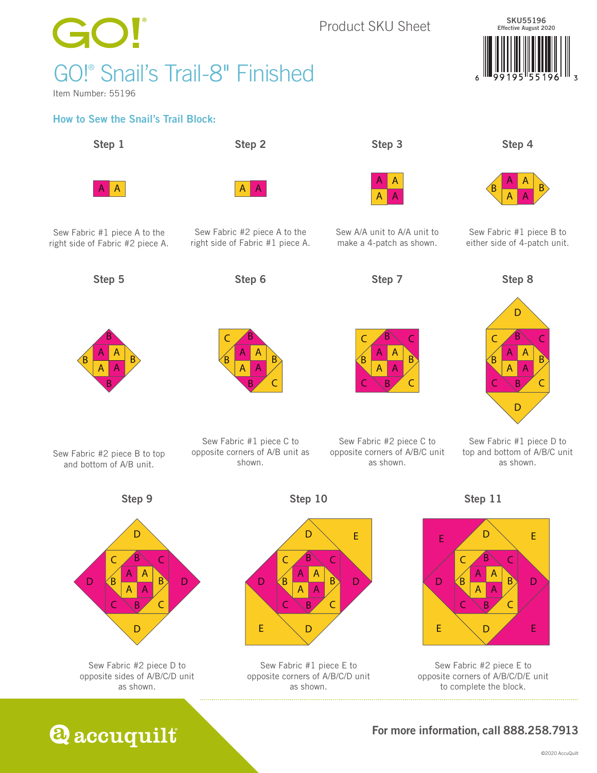

## $\bigodot$ GO!® Snail's Trail-8" Finished

Item Number: 55196

### How to Sew the Snail's Trail Block:

Step 1 Step 2 Step 3 Step 4

A A A A



Step 5 Step 6 Step 7 Step 8



Sew Fabric #2 piece B to top and bottom of A/B unit.

right side of Fabric #1 piece A.

Sew Fabric #2 piece A to the



Sew Fabric #1 piece C to opposite corners of A/B unit as shown.



Sew A/A unit to A/A unit to make a 4-patch as shown.

A I A A I A

Sew Fabric #2 piece C to opposite corners of A/B/C unit as shown.



SKU55196 Effective August 2020

Sew Fabric #1 piece B to

A A

either side of 4-patch unit.



Sew Fabric #1 piece D to top and bottom of A/B/C unit as shown.





Sew Fabric #2 piece D to opposite sides of A/B/C/D unit as shown.



Step 10

Sew Fabric #1 piece E to opposite corners of A/B/C/D unit as shown.

Step 11





### For more information, call 888.258.7913

**Q** accuquilt